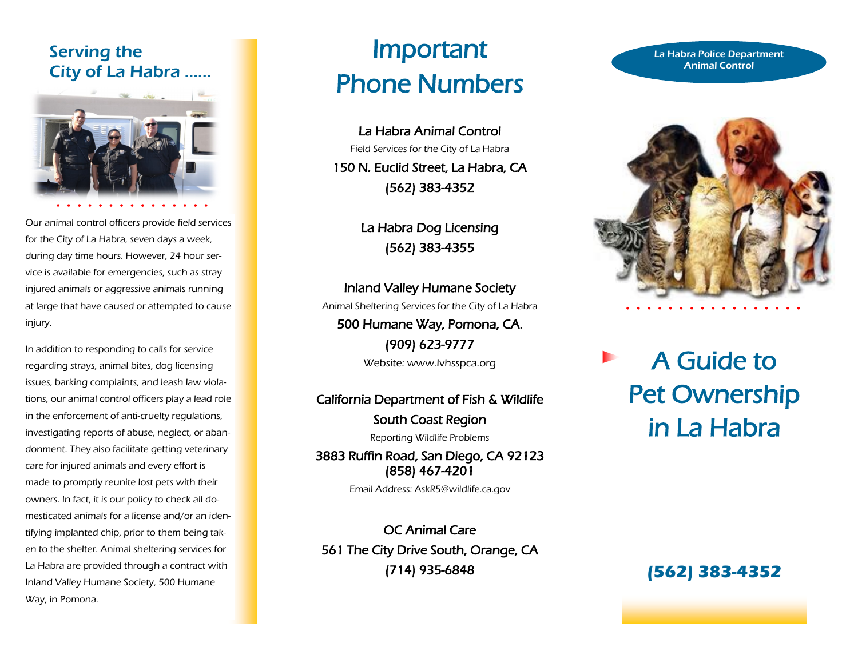## Serving the City of La Habra …...



Our animal control officers provide field services for the City of La Habra, seven days a week, during day time hours. However, 24 hour service is available for emergencies, such as stray injured animals or aggressive animals running at large that have caused or attempted to cause injury.

In addition to responding to calls for service regarding strays, animal bites, dog licensing issues, barking complaints, and leash law violations, our animal control officers play a lead role in the enforcement of anti-cruelty regulations, investigating reports of abuse, neglect, or abandonment. They also facilitate getting veterinary care for injured animals and every effort is made to promptly reunite lost pets with their owners. In fact, it is our policy to check all domesticated animals for a license and/or an identifying implanted chip, prior to them being taken to the shelter. Animal sheltering services for La Habra are provided through a contract with Inland Valley Humane Society, 500 Humane Way, in Pomona.

# Important Phone Numbers

La Habra Animal Control Field Services for the City of La Habra 150 N. Euclid Street, La Habra, CA (562) 383-4352

> La Habra Dog Licensing (562) 383-4355

Inland Valley Humane Society Animal Sheltering Services for the City of La Habra 500 Humane Way, Pomona, CA. (909) 623-9777

Website: www.Ivhsspca.org

## California Department of Fish & Wildlife

South Coast Region Reporting Wildlife Problems

3883 Ruffin Road, San Diego, CA 92123 (858) 467-4201

Email Address: AskR5@wildlife.ca.gov

OC Animal Care 561 The City Drive South, Orange, CA (714) 935-6848

#### La Habra Police Department Animal Control



A Guide to Pet Ownership in La Habra

**(562) 383-4352**